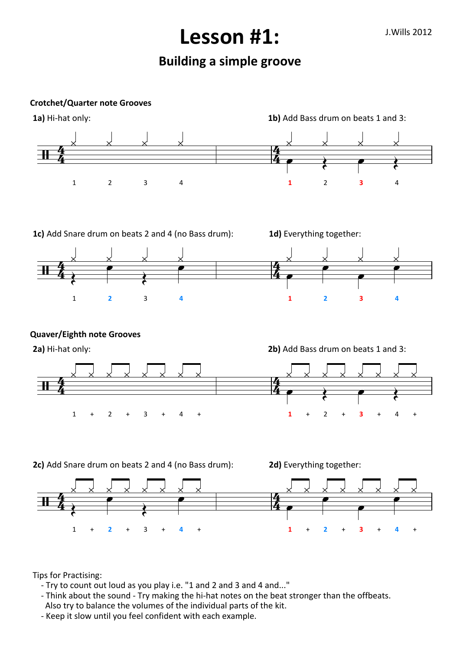## J.Wills 2012 **Lesson #1:**

## **Building a simple groove**

**Crotchet/Quarter note Grooves**



Tips for Practising:

- Try to count out loud as you play i.e. "1 and 2 and 3 and 4 and..."
- Think about the sound Try making the hi-hat notes on the beat stronger than the offbeats. Also try to balance the volumes of the individual parts of the kit.
- Keep it slow until you feel confident with each example.